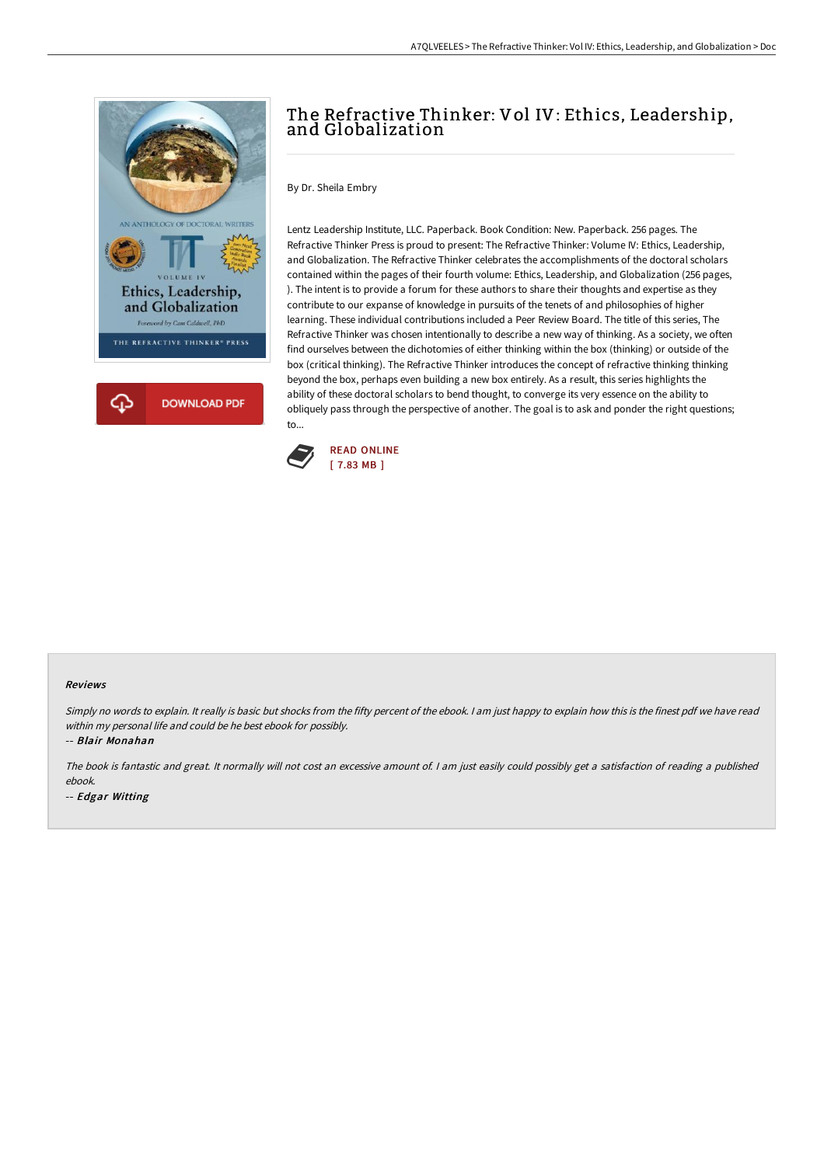

## The Refractive Thinker: Vol IV: Ethics, Leadership, and Globalization

By Dr. Sheila Embry

Lentz Leadership Institute, LLC. Paperback. Book Condition: New. Paperback. 256 pages. The Refractive Thinker Press is proud to present: The Refractive Thinker: Volume IV: Ethics, Leadership, and Globalization. The Refractive Thinker celebrates the accomplishments of the doctoral scholars contained within the pages of their fourth volume: Ethics, Leadership, and Globalization (256 pages, ). The intent is to provide a forum for these authors to share their thoughts and expertise as they contribute to our expanse of knowledge in pursuits of the tenets of and philosophies of higher learning. These individual contributions included a Peer Review Board. The title of this series, The Refractive Thinker was chosen intentionally to describe a new way of thinking. As a society, we often find ourselves between the dichotomies of either thinking within the box (thinking) or outside of the box (critical thinking). The Refractive Thinker introduces the concept of refractive thinking thinking beyond the box, perhaps even building a new box entirely. As a result, this series highlights the ability of these doctoral scholars to bend thought, to converge its very essence on the ability to obliquely pass through the perspective of another. The goal is to ask and ponder the right questions; to...



## Reviews

Simply no words to explain. It really is basic but shocks from the fifty percent of the ebook. I am just happy to explain how this is the finest pdf we have read within my personal life and could be he best ebook for possibly.

-- Blair Monahan

The book is fantastic and great. It normally will not cost an excessive amount of. <sup>I</sup> am just easily could possibly get <sup>a</sup> satisfaction of reading <sup>a</sup> published ebook.

-- Edgar Witting